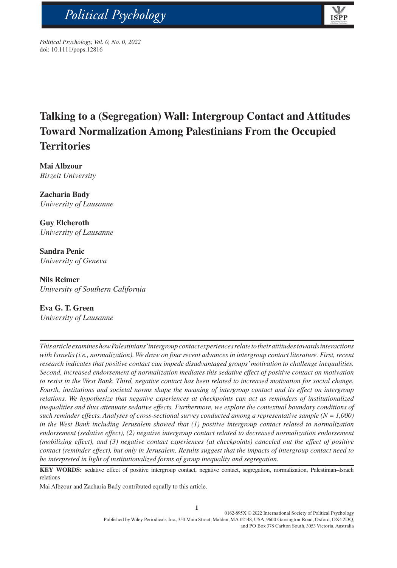



bs\_bs\_banner

# **Talking to a (Segregation) Wall: Intergroup Contact and Attitudes Toward Normalization Among Palestinians From the Occupied Territories**

**ISP** 

**Mai Albzour** *Birzeit University*

**Zacharia Bady** *University of Lausanne*

**Guy Elcheroth** *University of Lausanne*

**Sandra Penic** *University of Geneva*

**Nils Reimer** *University of Southern California*

**Eva G. T. Green**

*University of Lausanne*

*This article examines how Palestinians' intergroup contact experiences relate to their attitudes towards interactions with Israelis (i.e., normalization). We draw on four recent advances in intergroup contact literature. First, recent research indicates that positive contact can impede disadvantaged groups' motivation to challenge inequalities. Second, increased endorsement of normalization mediates this sedative effect of positive contact on motivation*  to resist in the West Bank. Third, negative contact has been related to increased motivation for social change. *Fourth, institutions and societal norms shape the meaning of intergroup contact and its effect on intergroup relations. We hypothesize that negative experiences at checkpoints can act as reminders of institutionalized inequalities and thus attenuate sedative effects. Furthermore, we explore the contextual boundary conditions of such reminder effects. Analyses of cross-sectional survey conducted among a representative sample*  $(N = 1,000)$ *in the West Bank including Jerusalem showed that (1) positive intergroup contact related to normalization*  endorsement (sedative effect), (2) negative intergroup contact related to decreased normalization endorsement *(mobilizing effect), and (3) negative contact experiences (at checkpoints) canceled out the effect of positive contact (reminder effect), but only in Jerusalem. Results suggest that the impacts of intergroup contact need to be interpreted in light of institutionalized forms of group inequality and segregation.*

**KEY WORDS:** sedative effect of positive intergroup contact, negative contact, segregation, normalization, Palestinian–Israeli relations

Mai Albzour and Zacharia Bady contributed equally to this article.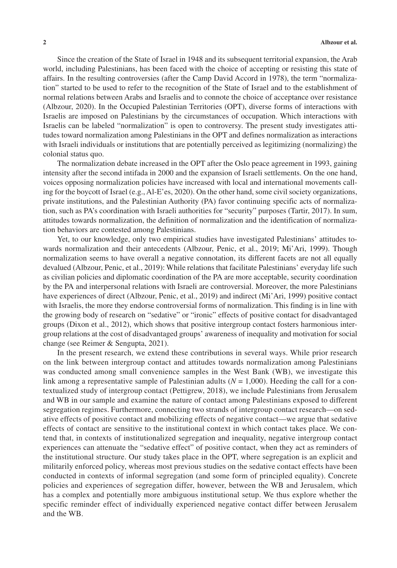Since the creation of the State of Israel in 1948 and its subsequent territorial expansion, the Arab world, including Palestinians, has been faced with the choice of accepting or resisting this state of affairs. In the resulting controversies (after the Camp David Accord in 1978), the term "normalization" started to be used to refer to the recognition of the State of Israel and to the establishment of normal relations between Arabs and Israelis and to connote the choice of acceptance over resistance (Albzour, 2020). In the Occupied Palestinian Territories (OPT), diverse forms of interactions with Israelis are imposed on Palestinians by the circumstances of occupation. Which interactions with Israelis can be labeled "normalization" is open to controversy. The present study investigates attitudes toward normalization among Palestinians in the OPT and defines normalization as interactions with Israeli individuals or institutions that are potentially perceived as legitimizing (normalizing) the colonial status quo.

The normalization debate increased in the OPT after the Oslo peace agreement in 1993, gaining intensity after the second intifada in 2000 and the expansion of Israeli settlements. On the one hand, voices opposing normalization policies have increased with local and international movements calling for the boycott of Israel (e.g., Al-E'es, 2020). On the other hand, some civil society organizations, private institutions, and the Palestinian Authority (PA) favor continuing specific acts of normalization, such as PA's coordination with Israeli authorities for "security" purposes (Tartir, 2017). In sum, attitudes towards normalization, the definition of normalization and the identification of normalization behaviors are contested among Palestinians.

Yet, to our knowledge, only two empirical studies have investigated Palestinians' attitudes towards normalization and their antecedents (Albzour, Penic, et al., 2019; Mi'Ari, 1999). Though normalization seems to have overall a negative connotation, its different facets are not all equally devalued (Albzour, Penic, et al., 2019): While relations that facilitate Palestinians' everyday life such as civilian policies and diplomatic coordination of the PA are more acceptable, security coordination by the PA and interpersonal relations with Israeli are controversial. Moreover, the more Palestinians have experiences of direct (Albzour, Penic, et al., 2019) and indirect (Mi'Ari, 1999) positive contact with Israelis, the more they endorse controversial forms of normalization. This finding is in line with the growing body of research on "sedative" or "ironic" effects of positive contact for disadvantaged groups (Dixon et al., 2012), which shows that positive intergroup contact fosters harmonious intergroup relations at the cost of disadvantaged groups' awareness of inequality and motivation for social change (see Reimer & Sengupta, 2021).

In the present research, we extend these contributions in several ways. While prior research on the link between intergroup contact and attitudes towards normalization among Palestinians was conducted among small convenience samples in the West Bank (WB), we investigate this link among a representative sample of Palestinian adults (*N* = 1,000). Heeding the call for a contextualized study of intergroup contact (Pettigrew, 2018), we include Palestinians from Jerusalem and WB in our sample and examine the nature of contact among Palestinians exposed to different segregation regimes. Furthermore, connecting two strands of intergroup contact research—on sedative effects of positive contact and mobilizing effects of negative contact—we argue that sedative effects of contact are sensitive to the institutional context in which contact takes place. We contend that, in contexts of institutionalized segregation and inequality, negative intergroup contact experiences can attenuate the "sedative effect" of positive contact, when they act as reminders of the institutional structure. Our study takes place in the OPT, where segregation is an explicit and militarily enforced policy, whereas most previous studies on the sedative contact effects have been conducted in contexts of informal segregation (and some form of principled equality). Concrete policies and experiences of segregation differ, however, between the WB and Jerusalem, which has a complex and potentially more ambiguous institutional setup. We thus explore whether the specific reminder effect of individually experienced negative contact differ between Jerusalem and the WB.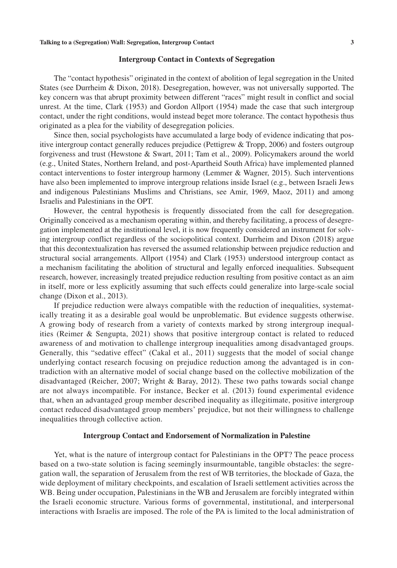#### **Intergroup Contact in Contexts of Segregation**

The "contact hypothesis" originated in the context of abolition of legal segregation in the United States (see Durrheim & Dixon, 2018). Desegregation, however, was not universally supported. The key concern was that abrupt proximity between different "races" might result in conflict and social unrest. At the time, Clark (1953) and Gordon Allport (1954) made the case that such intergroup contact, under the right conditions, would instead beget more tolerance. The contact hypothesis thus originated as a plea for the viability of desegregation policies.

Since then, social psychologists have accumulated a large body of evidence indicating that positive intergroup contact generally reduces prejudice (Pettigrew & Tropp, 2006) and fosters outgroup forgiveness and trust (Hewstone & Swart, 2011; Tam et al., 2009). Policymakers around the world (e.g., United States, Northern Ireland, and post-Apartheid South Africa) have implemented planned contact interventions to foster intergroup harmony (Lemmer & Wagner, 2015). Such interventions have also been implemented to improve intergroup relations inside Israel (e.g., between Israeli Jews and indigenous Palestinians Muslims and Christians, see Amir, 1969, Maoz, 2011) and among Israelis and Palestinians in the OPT.

However, the central hypothesis is frequently dissociated from the call for desegregation. Originally conceived as a mechanism operating within, and thereby facilitating, a process of desegregation implemented at the institutional level, it is now frequently considered an instrument for solving intergroup conflict regardless of the sociopolitical context. Durrheim and Dixon (2018) argue that this decontextualization has reversed the assumed relationship between prejudice reduction and structural social arrangements. Allport (1954) and Clark (1953) understood intergroup contact as a mechanism facilitating the abolition of structural and legally enforced inequalities. Subsequent research, however, increasingly treated prejudice reduction resulting from positive contact as an aim in itself, more or less explicitly assuming that such effects could generalize into large-scale social change (Dixon et al., 2013).

If prejudice reduction were always compatible with the reduction of inequalities, systematically treating it as a desirable goal would be unproblematic. But evidence suggests otherwise. A growing body of research from a variety of contexts marked by strong intergroup inequalities (Reimer & Sengupta, 2021) shows that positive intergroup contact is related to reduced awareness of and motivation to challenge intergroup inequalities among disadvantaged groups. Generally, this "sedative effect" (Cakal et al., 2011) suggests that the model of social change underlying contact research focusing on prejudice reduction among the advantaged is in contradiction with an alternative model of social change based on the collective mobilization of the disadvantaged (Reicher, 2007; Wright & Baray, 2012). These two paths towards social change are not always incompatible. For instance, Becker et al. (2013) found experimental evidence that, when an advantaged group member described inequality as illegitimate, positive intergroup contact reduced disadvantaged group members' prejudice, but not their willingness to challenge inequalities through collective action.

# **Intergroup Contact and Endorsement of Normalization in Palestine**

Yet, what is the nature of intergroup contact for Palestinians in the OPT? The peace process based on a two-state solution is facing seemingly insurmountable, tangible obstacles: the segregation wall, the separation of Jerusalem from the rest of WB territories, the blockade of Gaza, the wide deployment of military checkpoints, and escalation of Israeli settlement activities across the WB. Being under occupation, Palestinians in the WB and Jerusalem are forcibly integrated within the Israeli economic structure. Various forms of governmental, institutional, and interpersonal interactions with Israelis are imposed. The role of the PA is limited to the local administration of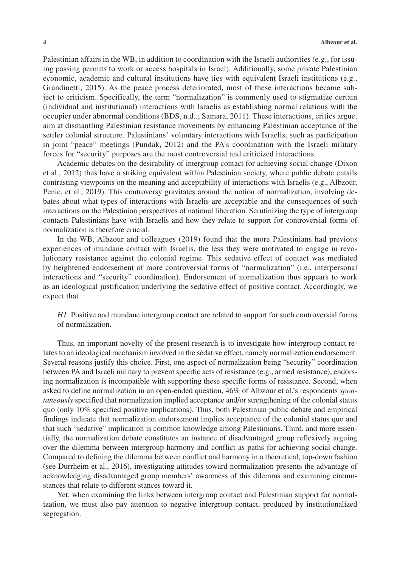Palestinian affairs in the WB, in addition to coordination with the Israeli authorities (e.g., for issuing passing permits to work or access hospitals in Israel). Additionally, some private Palestinian economic, academic and cultural institutions have ties with equivalent Israeli institutions (e.g., Grandinetti, 2015). As the peace process deteriorated, most of these interactions became subject to criticism. Specifically, the term "normalization" is commonly used to stigmatize certain (individual and institutional) interactions with Israelis as establishing normal relations with the occupier under abnormal conditions (BDS, n.d..; Samara, 2011). These interactions, critics argue, aim at dismantling Palestinian resistance movements by enhancing Palestinian acceptance of the settler colonial structure. Palestinians' voluntary interactions with Israelis, such as participation in joint "peace" meetings (Pundak, 2012) and the PA's coordination with the Israeli military forces for "security" purposes are the most controversial and criticized interactions.

Academic debates on the desirability of intergroup contact for achieving social change (Dixon et al., 2012) thus have a striking equivalent within Palestinian society, where public debate entails contrasting viewpoints on the meaning and acceptability of interactions with Israelis (e.g., Albzour, Penic, et al., 2019). This controversy gravitates around the notion of normalization, involving debates about what types of interactions with Israelis are acceptable and the consequences of such interactions on the Palestinian perspectives of national liberation. Scrutinizing the type of intergroup contacts Palestinians have with Israelis and how they relate to support for controversial forms of normalization is therefore crucial.

In the WB, Albzour and colleagues (2019) found that the more Palestinians had previous experiences of mundane contact with Israelis, the less they were motivated to engage in revolutionary resistance against the colonial regime. This sedative effect of contact was mediated by heightened endorsement of more controversial forms of "normalization" (i.e., interpersonal interactions and "security" coordination). Endorsement of normalization thus appears to work as an ideological justification underlying the sedative effect of positive contact. Accordingly, we expect that

*H1*: Positive and mundane intergroup contact are related to support for such controversial forms of normalization.

Thus, an important novelty of the present research is to investigate how intergroup contact relates to an ideological mechanism involved in the sedative effect, namely normalization endorsement. Several reasons justify this choice. First, one aspect of normalization being "security" coordination between PA and Israeli military to prevent specific acts of resistance (e.g., armed resistance), endorsing normalization is incompatible with supporting these specific forms of resistance. Second, when asked to define normalization in an open-ended question, 46% of Albzour et al.'s respondents *spontaneously* specified that normalization implied acceptance and/or strengthening of the colonial status quo (only 10% specified positive implications). Thus, both Palestinian public debate and empirical findings indicate that normalization endorsement implies acceptance of the colonial status quo and that such "sedative" implication is common knowledge among Palestinians. Third, and more essentially, the normalization debate constitutes an instance of disadvantaged group reflexively arguing over the dilemma between intergroup harmony and conflict as paths for achieving social change. Compared to defining the dilemma between conflict and harmony in a theoretical, top-down fashion (see Durrheim et al., 2016), investigating attitudes toward normalization presents the advantage of acknowledging disadvantaged group members' awareness of this dilemma and examining circumstances that relate to different stances toward it.

Yet, when examining the links between intergroup contact and Palestinian support for normalization, we must also pay attention to negative intergroup contact, produced by institutionalized segregation.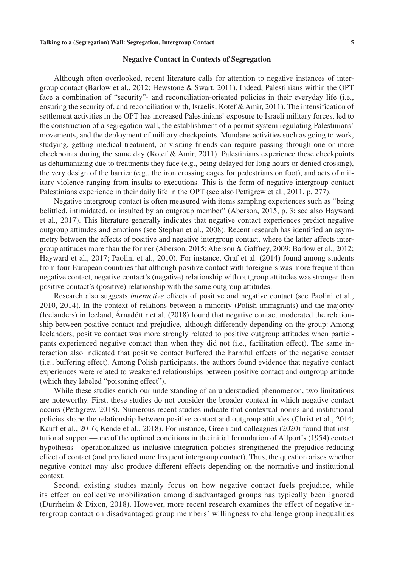#### **Negative Contact in Contexts of Segregation**

Although often overlooked, recent literature calls for attention to negative instances of intergroup contact (Barlow et al., 2012; Hewstone & Swart, 2011). Indeed, Palestinians within the OPT face a combination of "security"- and reconciliation-oriented policies in their everyday life (i.e., ensuring the security of, and reconciliation with, Israelis; Kotef & Amir, 2011). The intensification of settlement activities in the OPT has increased Palestinians' exposure to Israeli military forces, led to the construction of a segregation wall, the establishment of a permit system regulating Palestinians' movements, and the deployment of military checkpoints. Mundane activities such as going to work, studying, getting medical treatment, or visiting friends can require passing through one or more checkpoints during the same day (Kotef & Amir, 2011). Palestinians experience these checkpoints as dehumanizing due to treatments they face (e.g., being delayed for long hours or denied crossing), the very design of the barrier (e.g., the iron crossing cages for pedestrians on foot), and acts of military violence ranging from insults to executions. This is the form of negative intergroup contact Palestinians experience in their daily life in the OPT (see also Pettigrew et al., 2011, p. 277).

Negative intergroup contact is often measured with items sampling experiences such as "being belittled, intimidated, or insulted by an outgroup member" (Aberson, 2015, p. 3; see also Hayward et al., 2017). This literature generally indicates that negative contact experiences predict negative outgroup attitudes and emotions (see Stephan et al., 2008). Recent research has identified an asymmetry between the effects of positive and negative intergroup contact, where the latter affects intergroup attitudes more than the former (Aberson, 2015; Aberson & Gaffney, 2009; Barlow et al., 2012; Hayward et al., 2017; Paolini et al., 2010). For instance, Graf et al. (2014) found among students from four European countries that although positive contact with foreigners was more frequent than negative contact, negative contact's (negative) relationship with outgroup attitudes was stronger than positive contact's (positive) relationship with the same outgroup attitudes.

Research also suggests *interactive* effects of positive and negative contact (see Paolini et al., 2010, 2014). In the context of relations between a minority (Polish immigrants) and the majority (Icelanders) in Iceland, Árnadóttir et al. (2018) found that negative contact moderated the relationship between positive contact and prejudice, although differently depending on the group: Among Icelanders, positive contact was more strongly related to positive outgroup attitudes when participants experienced negative contact than when they did not (i.e., facilitation effect). The same interaction also indicated that positive contact buffered the harmful effects of the negative contact (i.e., buffering effect). Among Polish participants, the authors found evidence that negative contact experiences were related to weakened relationships between positive contact and outgroup attitude (which they labeled "poisoning effect").

While these studies enrich our understanding of an understudied phenomenon, two limitations are noteworthy. First, these studies do not consider the broader context in which negative contact occurs (Pettigrew, 2018). Numerous recent studies indicate that contextual norms and institutional policies shape the relationship between positive contact and outgroup attitudes (Christ et al., 2014; Kauff et al., 2016; Kende et al., 2018). For instance, Green and colleagues (2020) found that institutional support—one of the optimal conditions in the initial formulation of Allport's (1954) contact hypothesis—operationalized as inclusive integration policies strengthened the prejudice-reducing effect of contact (and predicted more frequent intergroup contact). Thus, the question arises whether negative contact may also produce different effects depending on the normative and institutional context.

Second, existing studies mainly focus on how negative contact fuels prejudice, while its effect on collective mobilization among disadvantaged groups has typically been ignored (Durrheim & Dixon, 2018). However, more recent research examines the effect of negative intergroup contact on disadvantaged group members' willingness to challenge group inequalities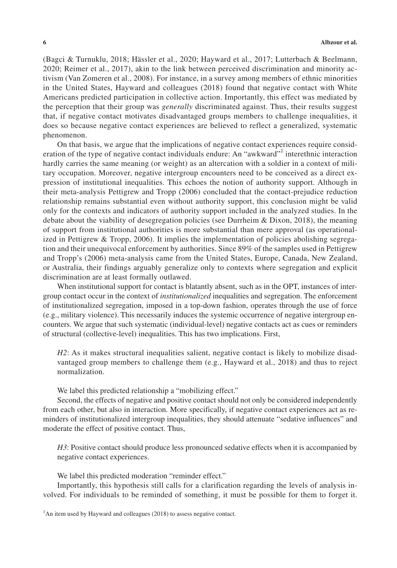(Bagci & Turnuklu, 2018; Hässler et al., 2020; Hayward et al., 2017; Lutterbach & Beelmann, 2020; Reimer et al., 2017), akin to the link between perceived discrimination and minority activism (Van Zomeren et al., 2008). For instance, in a survey among members of ethnic minorities in the United States, Hayward and colleagues (2018) found that negative contact with White Americans predicted participation in collective action. Importantly, this effect was mediated by the perception that their group was *generally* discriminated against. Thus, their results suggest that, if negative contact motivates disadvantaged groups members to challenge inequalities, it does so because negative contact experiences are believed to reflect a generalized, systematic phenomenon.

On that basis, we argue that the implications of negative contact experiences require consideration of the type of negative contact individuals endure: An "awkward"<sup>1</sup> interethnic interaction hardly carries the same meaning (or weight) as an altercation with a soldier in a context of military occupation. Moreover, negative intergroup encounters need to be conceived as a direct expression of institutional inequalities. This echoes the notion of authority support. Although in their meta-analysis Pettigrew and Tropp (2006) concluded that the contact-prejudice reduction relationship remains substantial even without authority support, this conclusion might be valid only for the contexts and indicators of authority support included in the analyzed studies. In the debate about the viability of desegregation policies (see Durrheim & Dixon, 2018), the meaning of support from institutional authorities is more substantial than mere approval (as operationalized in Pettigrew & Tropp, 2006). It implies the implementation of policies abolishing segregation and their unequivocal enforcement by authorities. Since 89% of the samples used in Pettigrew and Tropp's (2006) meta-analysis came from the United States, Europe, Canada, New Zealand, or Australia, their findings arguably generalize only to contexts where segregation and explicit discrimination are at least formally outlawed.

When institutional support for contact is blatantly absent, such as in the OPT, instances of intergroup contact occur in the context of *institutionalized* inequalities and segregation. The enforcement of institutionalized segregation, imposed in a top-down fashion, operates through the use of force (e.g., military violence). This necessarily induces the systemic occurrence of negative intergroup encounters. We argue that such systematic (individual-level) negative contacts act as cues or reminders of structural (collective-level) inequalities. This has two implications. First,

*H2*: As it makes structural inequalities salient, negative contact is likely to mobilize disadvantaged group members to challenge them (e.g., Hayward et al., 2018) and thus to reject normalization.

We label this predicted relationship a "mobilizing effect."

Second, the effects of negative and positive contact should not only be considered independently from each other, but also in interaction. More specifically, if negative contact experiences act as reminders of institutionalized intergroup inequalities, they should attenuate "sedative influences" and moderate the effect of positive contact. Thus,

*H3*: Positive contact should produce less pronounced sedative effects when it is accompanied by negative contact experiences.

We label this predicted moderation "reminder effect."

Importantly, this hypothesis still calls for a clarification regarding the levels of analysis involved. For individuals to be reminded of something, it must be possible for them to forget it.

<sup>&</sup>lt;sup>1</sup>An item used by Hayward and colleagues (2018) to assess negative contact.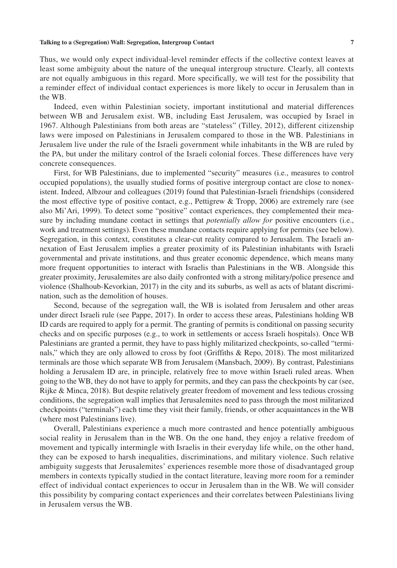#### **Talking to a (Segregation) Wall: Segregation, Intergroup Contact 7**

Thus, we would only expect individual-level reminder effects if the collective context leaves at least some ambiguity about the nature of the unequal intergroup structure. Clearly, all contexts are not equally ambiguous in this regard. More specifically, we will test for the possibility that a reminder effect of individual contact experiences is more likely to occur in Jerusalem than in the WB.

Indeed, even within Palestinian society, important institutional and material differences between WB and Jerusalem exist. WB, including East Jerusalem, was occupied by Israel in 1967. Although Palestinians from both areas are "stateless" (Tilley, 2012), different citizenship laws were imposed on Palestinians in Jerusalem compared to those in the WB. Palestinians in Jerusalem live under the rule of the Israeli government while inhabitants in the WB are ruled by the PA, but under the military control of the Israeli colonial forces. These differences have very concrete consequences.

First, for WB Palestinians, due to implemented "security" measures (i.e., measures to control occupied populations), the usually studied forms of positive intergroup contact are close to nonexistent. Indeed, Albzour and colleagues (2019) found that Palestinian-Israeli friendships (considered the most effective type of positive contact, e.g., Pettigrew & Tropp, 2006) are extremely rare (see also Mi'Ari, 1999). To detect some "positive" contact experiences, they complemented their measure by including mundane contact in settings that *potentially allow for* positive encounters (i.e., work and treatment settings). Even these mundane contacts require applying for permits (see below). Segregation, in this context, constitutes a clear-cut reality compared to Jerusalem. The Israeli annexation of East Jerusalem implies a greater proximity of its Palestinian inhabitants with Israeli governmental and private institutions, and thus greater economic dependence, which means many more frequent opportunities to interact with Israelis than Palestinians in the WB. Alongside this greater proximity, Jerusalemites are also daily confronted with a strong military/police presence and violence (Shalhoub-Kevorkian, 2017) in the city and its suburbs, as well as acts of blatant discrimination, such as the demolition of houses.

Second, because of the segregation wall, the WB is isolated from Jerusalem and other areas under direct Israeli rule (see Pappe, 2017). In order to access these areas, Palestinians holding WB ID cards are required to apply for a permit. The granting of permits is conditional on passing security checks and on specific purposes (e.g., to work in settlements or access Israeli hospitals). Once WB Palestinians are granted a permit, they have to pass highly militarized checkpoints, so-called "terminals," which they are only allowed to cross by foot (Griffiths & Repo, 2018). The most militarized terminals are those which separate WB from Jerusalem (Mansbach, 2009). By contrast, Palestinians holding a Jerusalem ID are, in principle, relatively free to move within Israeli ruled areas. When going to the WB, they do not have to apply for permits, and they can pass the checkpoints by car (see, Rijke & Minca, 2018). But despite relatively greater freedom of movement and less tedious crossing conditions, the segregation wall implies that Jerusalemites need to pass through the most militarized checkpoints ("terminals") each time they visit their family, friends, or other acquaintances in the WB (where most Palestinians live).

Overall, Palestinians experience a much more contrasted and hence potentially ambiguous social reality in Jerusalem than in the WB. On the one hand, they enjoy a relative freedom of movement and typically intermingle with Israelis in their everyday life while, on the other hand, they can be exposed to harsh inequalities, discriminations, and military violence. Such relative ambiguity suggests that Jerusalemites' experiences resemble more those of disadvantaged group members in contexts typically studied in the contact literature, leaving more room for a reminder effect of individual contact experiences to occur in Jerusalem than in the WB. We will consider this possibility by comparing contact experiences and their correlates between Palestinians living in Jerusalem versus the WB.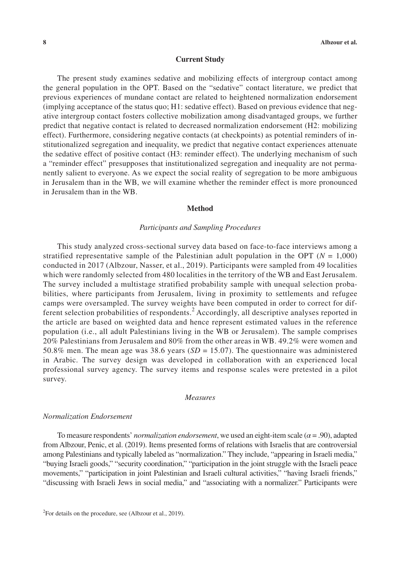#### **Current Study**

The present study examines sedative and mobilizing effects of intergroup contact among the general population in the OPT. Based on the "sedative" contact literature, we predict that previous experiences of mundane contact are related to heightened normalization endorsement (implying acceptance of the status quo; H1: sedative effect). Based on previous evidence that negative intergroup contact fosters collective mobilization among disadvantaged groups, we further predict that negative contact is related to decreased normalization endorsement (H2: mobilizing effect). Furthermore, considering negative contacts (at checkpoints) as potential reminders of institutionalized segregation and inequality, we predict that negative contact experiences attenuate the sedative effect of positive contact (H3: reminder effect). The underlying mechanism of such a "reminder effect" presupposes that institutionalized segregation and inequality are not permanently salient to everyone. As we expect the social reality of segregation to be more ambiguous in Jerusalem than in the WB, we will examine whether the reminder effect is more pronounced in Jerusalem than in the WB.

### **Method**

#### *Participants and Sampling Procedures*

This study analyzed cross-sectional survey data based on face-to-face interviews among a stratified representative sample of the Palestinian adult population in the OPT ( $N = 1,000$ ) conducted in 2017 (Albzour, Nasser, et al., 2019). Participants were sampled from 49 localities which were randomly selected from 480 localities in the territory of the WB and East Jerusalem. The survey included a multistage stratified probability sample with unequal selection probabilities, where participants from Jerusalem, living in proximity to settlements and refugee camps were oversampled. The survey weights have been computed in order to correct for different selection probabilities of respondents.<sup>2</sup> Accordingly, all descriptive analyses reported in the article are based on weighted data and hence represent estimated values in the reference population (i.e., all adult Palestinians living in the WB or Jerusalem). The sample comprises 20% Palestinians from Jerusalem and 80% from the other areas in WB. 49.2% were women and 50.8% men. The mean age was 38.6 years (*SD* = 15.07). The questionnaire was administered in Arabic. The survey design was developed in collaboration with an experienced local professional survey agency. The survey items and response scales were pretested in a pilot survey.

#### *Measures*

#### *Normalization Endorsement*

To measure respondents' *normalization endorsement*, we used an eight-item scale ( $\alpha$  = .90), adapted from Albzour, Penic, et al. (2019). Items presented forms of relations with Israelis that are controversial among Palestinians and typically labeled as "normalization." They include, "appearing in Israeli media," "buying Israeli goods," "security coordination," "participation in the joint struggle with the Israeli peace movements," "participation in joint Palestinian and Israeli cultural activities," "having Israeli friends," "discussing with Israeli Jews in social media," and "associating with a normalizer." Participants were

<sup>&</sup>lt;sup>2</sup>For details on the procedure, see (Albzour et al., 2019).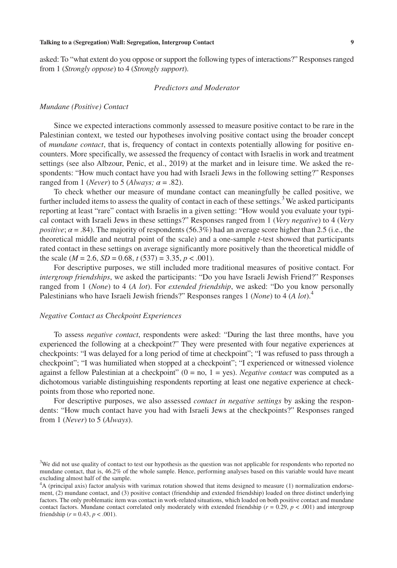asked: To "what extent do you oppose or support the following types of interactions?" Responses ranged from 1 (*Strongly oppose*) to 4 (*Strongly support*).

# *Predictors and Moderator*

# *Mundane (Positive) Contact*

Since we expected interactions commonly assessed to measure positive contact to be rare in the Palestinian context, we tested our hypotheses involving positive contact using the broader concept of *mundane contact*, that is, frequency of contact in contexts potentially allowing for positive encounters. More specifically, we assessed the frequency of contact with Israelis in work and treatment settings (see also Albzour, Penic, et al., 2019) at the market and in leisure time. We asked the respondents: "How much contact have you had with Israeli Jews in the following setting?" Responses ranged from 1 (*Never*) to 5 (*Always*;  $\alpha$  = .82).

To check whether our measure of mundane contact can meaningfully be called positive, we further included items to assess the quality of contact in each of these settings.<sup>3</sup> We asked participants reporting at least "rare" contact with Israelis in a given setting: "How would you evaluate your typical contact with Israeli Jews in these settings?" Responses ranged from 1 (*Very negative*) to 4 (*Very positive*;  $\alpha = 0.84$ ). The majority of respondents (56.3%) had an average score higher than 2.5 (i.e., the theoretical middle and neutral point of the scale) and a one-sample *t*-test showed that participants rated contact in these settings on average significantly more positively than the theoretical middle of the scale  $(M = 2.6, SD = 0.68, t(537) = 3.35, p < .001)$ .

For descriptive purposes, we still included more traditional measures of positive contact. For *intergroup friendships*, we asked the participants: "Do you have Israeli Jewish Friend?" Responses ranged from 1 (*None*) to 4 (*A lot*). For *extended friendship*, we asked: "Do you know personally Palestinians who have Israeli Jewish friends?" Responses ranges 1 (*None*) to 4 (*A lot*).<sup>4</sup>

# *Negative Contact as Checkpoint Experiences*

To assess *negative contact*, respondents were asked: "During the last three months, have you experienced the following at a checkpoint?" They were presented with four negative experiences at checkpoints: "I was delayed for a long period of time at checkpoint"; "I was refused to pass through a checkpoint"; "I was humiliated when stopped at a checkpoint"; "I experienced or witnessed violence against a fellow Palestinian at a checkpoint"  $(0 = no, 1 = yes)$ . *Negative contact* was computed as a dichotomous variable distinguishing respondents reporting at least one negative experience at checkpoints from those who reported none.

For descriptive purposes, we also assessed *contact in negative settings* by asking the respondents: "How much contact have you had with Israeli Jews at the checkpoints?" Responses ranged from 1 (*Never*) to 5 (*Always*).

<sup>&</sup>lt;sup>3</sup>We did not use quality of contact to test our hypothesis as the question was not applicable for respondents who reported no mundane contact, that is, 46.2% of the whole sample. Hence, performing analyses based on this variable would have meant excluding almost half of the sample.

<sup>4</sup> A (principal axis) factor analysis with varimax rotation showed that items designed to measure (1) normalization endorsement, (2) mundane contact, and (3) positive contact (friendship and extended friendship) loaded on three distinct underlying factors. The only problematic item was contact in work-related situations, which loaded on both positive contact and mundane contact factors. Mundane contact correlated only moderately with extended friendship ( $r = 0.29$ ,  $p < .001$ ) and intergroup friendship ( $r = 0.43$ ,  $p < .001$ ).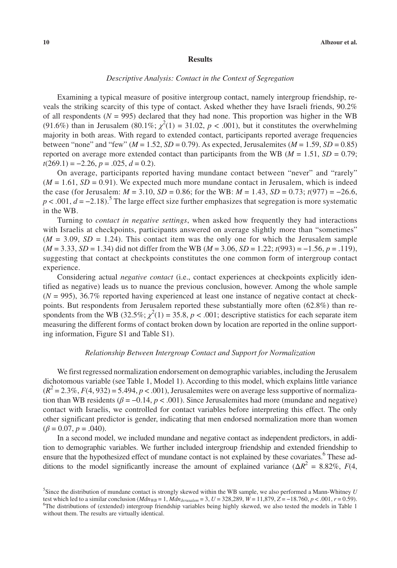#### **Results**

# *Descriptive Analysis: Contact in the Context of Segregation*

Examining a typical measure of positive intergroup contact, namely intergroup friendship, reveals the striking scarcity of this type of contact. Asked whether they have Israeli friends, 90.2% of all respondents ( $N = 995$ ) declared that they had none. This proportion was higher in the WB (91.6%) than in Jerusalem (80.1%;  $\chi^2(1) = 31.02$ ,  $p < .001$ ), but it constitutes the overwhelming majority in both areas. With regard to extended contact, participants reported average frequencies between "none" and "few" ( $M = 1.52$ ,  $SD = 0.79$ ). As expected, Jerusalemites ( $M = 1.59$ ,  $SD = 0.85$ ) reported on average more extended contact than participants from the WB ( $M = 1.51$ ,  $SD = 0.79$ ; *t*(269.1) = −2.26, *p* = .025, *d* = 0.2).

On average, participants reported having mundane contact between "never" and "rarely"  $(M = 1.61, SD = 0.91)$ . We expected much more mundane contact in Jerusalem, which is indeed the case (for Jerusalem:  $M = 3.10$ ,  $SD = 0.86$ ; for the WB:  $M = 1.43$ ,  $SD = 0.73$ ;  $t(977) = -26.6$ ,  $p < .001$ ,  $d = -2.18$ ).<sup>5</sup> The large effect size further emphasizes that segregation is more systematic in the WB.

Turning to *contact in negative settings*, when asked how frequently they had interactions with Israelis at checkpoints, participants answered on average slightly more than "sometimes"  $(M = 3.09, SD = 1.24)$ . This contact item was the only one for which the Jerusalem sample (*M* = 3.33, *SD* = 1.34) did not differ from the WB (*M* = 3.06, *SD* = 1.22; *t*(993) = −1.56, *p* = .119), suggesting that contact at checkpoints constitutes the one common form of intergroup contact experience.

Considering actual *negative contact* (i.e., contact experiences at checkpoints explicitly identified as negative) leads us to nuance the previous conclusion, however. Among the whole sample  $(N = 995)$ , 36.7% reported having experienced at least one instance of negative contact at checkpoints. But respondents from Jerusalem reported these substantially more often (62.8%) than respondents from the WB (32.5%;  $\chi^2(1) = 35.8$ ,  $p < .001$ ; descriptive statistics for each separate item measuring the different forms of contact broken down by location are reported in the online supporting information, Figure S1 and Table S1).

# *Relationship Between Intergroup Contact and Support for Normalization*

We first regressed normalization endorsement on demographic variables, including the Jerusalem dichotomous variable (see Table 1, Model 1). According to this model, which explains little variance  $(R^2 = 2.3\%, F(4, 932) = 5.494, p < .001)$ , Jerusalemites were on average less supportive of normalization than WB residents ( $\beta = -0.14$ ,  $p < .001$ ). Since Jerusalemites had more (mundane and negative) contact with Israelis, we controlled for contact variables before interpreting this effect. The only other significant predictor is gender, indicating that men endorsed normalization more than women  $(\beta = 0.07, p = .040)$ .

In a second model, we included mundane and negative contact as independent predictors, in addition to demographic variables. We further included intergroup friendship and extended friendship to ensure that the hypothesized effect of mundane contact is not explained by these covariates.<sup>6</sup> These additions to the model significantly increase the amount of explained variance ( $\Delta R^2 = 8.82\%$ , *F*(4,

<sup>5</sup> Since the distribution of mundane contact is strongly skewed within the WB sample, we also performed a Mann-Whitney *U* test which led to a similar conclusion ( $Mdn_{WB} = 1$ ,  $Mdn_{Jerusalem} = 3$ ,  $U = 328,289$ ,  $W = 11,879$ ,  $Z = −18.760$ ,  $p < .001$ ,  $r = 0.59$ ). <sup>6</sup>The distributions of (extended) intergroup friendship variables being highly skewed, we also tested the models in Table 1 without them. The results are virtually identical.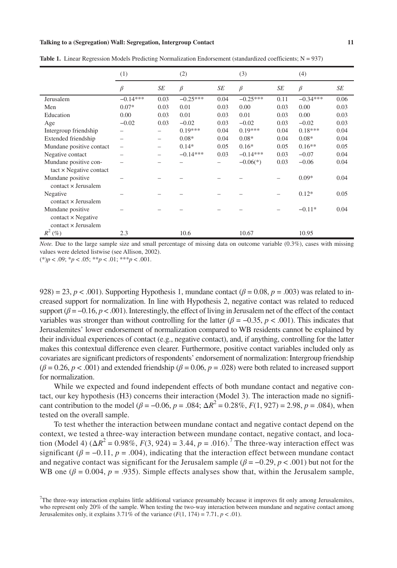#### **Talking to a (Segregation) Wall: Segregation, Intergroup Contact 11**

|                                | (1)        |                          | (2)        |      | (3)        |      | (4)        |      |
|--------------------------------|------------|--------------------------|------------|------|------------|------|------------|------|
|                                | β          | SE                       | $\beta$    | SE   | $\beta$    | SE   | $\beta$    | SE   |
| Jerusalem                      | $-0.14***$ | 0.03                     | $-0.25***$ | 0.04 | $-0.25***$ | 0.11 | $-0.34***$ | 0.06 |
| Men                            | $0.07*$    | 0.03                     | 0.01       | 0.03 | 0.00       | 0.03 | 0.00       | 0.03 |
| Education                      | 0.00       | 0.03                     | 0.01       | 0.03 | 0.01       | 0.03 | 0.00       | 0.03 |
| Age                            | $-0.02$    | 0.03                     | $-0.02$    | 0.03 | $-0.02$    | 0.03 | $-0.02$    | 0.03 |
| Intergroup friendship          |            |                          | $0.19***$  | 0.04 | $0.19***$  | 0.04 | $0.18***$  | 0.04 |
| Extended friendship            |            | $\overline{\phantom{0}}$ | $0.08*$    | 0.04 | $0.08*$    | 0.04 | $0.08*$    | 0.04 |
| Mundane positive contact       |            |                          | $0.14*$    | 0.05 | $0.16*$    | 0.05 | $0.16**$   | 0.05 |
| Negative contact               |            |                          | $-0.14***$ | 0.03 | $-0.14***$ | 0.03 | $-0.07$    | 0.04 |
| Mundane positive con-          |            |                          |            |      | $-0.06(*)$ | 0.03 | $-0.06$    | 0.04 |
| $tact \times Negative contact$ |            |                          |            |      |            |      |            |      |
| Mundane positive               |            |                          |            |      |            |      | $0.09*$    | 0.04 |
| $contact \times Jerusalem$     |            |                          |            |      |            |      |            |      |
| Negative                       |            |                          |            |      |            |      | $0.12*$    | 0.05 |
| contact x Jerusalem            |            |                          |            |      |            |      |            |      |
| Mundane positive               |            |                          |            |      |            |      | $-0.11*$   | 0.04 |
| $contact \times Negative$      |            |                          |            |      |            |      |            |      |
| contact x Jerusalem            |            |                          |            |      |            |      |            |      |
| $R^2$<br>$(\%)$                | 2.3        |                          | 10.6       |      | 10.67      |      | 10.95      |      |

**Table 1.** Linear Regression Models Predicting Normalization Endorsement (standardized coefficients; N = 937)

*Note.* Due to the large sample size and small percentage of missing data on outcome variable (0.3%), cases with missing values were deleted listwise (see Allison, 2002).

(\*)*p* < .09; \**p* < .05; \*\**p* < .01; \*\*\**p* < .001.

928) = 23,  $p < .001$ ). Supporting Hypothesis 1, mundane contact ( $\beta = 0.08$ ,  $p = .003$ ) was related to increased support for normalization. In line with Hypothesis 2, negative contact was related to reduced support  $(\beta = -0.16, p < .001)$ . Interestingly, the effect of living in Jerusalem net of the effect of the contact variables was stronger than without controlling for the latter ( $\beta = -0.35$ ,  $p < .001$ ). This indicates that Jerusalemites' lower endorsement of normalization compared to WB residents cannot be explained by their individual experiences of contact (e.g., negative contact), and, if anything, controlling for the latter makes this contextual difference even clearer. Furthermore, positive contact variables included only as covariates are significant predictors of respondents' endorsement of normalization: Intergroup friendship  $(\beta = 0.26, p < .001)$  and extended friendship ( $\beta = 0.06, p = .028$ ) were both related to increased support for normalization.

While we expected and found independent effects of both mundane contact and negative contact, our key hypothesis (H3) concerns their interaction (Model 3). The interaction made no significant contribution to the model ( $\beta$  = -0.06,  $p$  = .084;  $\Delta R^2$  = 0.28%,  $F(1, 927)$  = 2.98,  $p$  = .084), when tested on the overall sample.

To test whether the interaction between mundane contact and negative contact depend on the context, we tested a three-way interaction between mundane contact, negative contact, and location (Model 4)  $(\Delta R^2 = 0.98\%, F(3, 924) = 3.44, p = .016)$ .<sup>7</sup> The three-way interaction effect was significant ( $\beta = -0.11$ ,  $p = .004$ ), indicating that the interaction effect between mundane contact and negative contact was significant for the Jerusalem sample ( $\beta = -0.29$ ,  $p < .001$ ) but not for the WB one  $(\beta = 0.004, p = .935)$ . Simple effects analyses show that, within the Jerusalem sample,

<sup>&</sup>lt;sup>7</sup>The three-way interaction explains little additional variance presumably because it improves fit only among Jerusalemites, who represent only 20% of the sample. When testing the two-way interaction between mundane and negative contact among Jerusalemites only, it explains  $3.71\%$  of the variance  $(F(1, 174) = 7.71, p < .01)$ .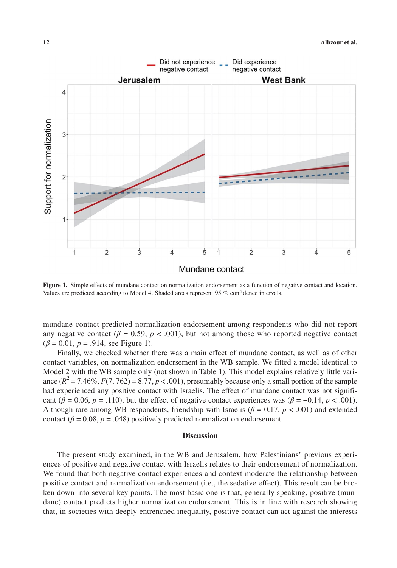

**Figure 1.** Simple effects of mundane contact on normalization endorsement as a function of negative contact and location. Values are predicted according to Model 4. Shaded areas represent 95 % confidence intervals.

mundane contact predicted normalization endorsement among respondents who did not report any negative contact ( $\beta = 0.59$ ,  $p < .001$ ), but not among those who reported negative contact  $(\beta = 0.01, p = .914, \text{ see Figure 1}).$ 

Finally, we checked whether there was a main effect of mundane contact, as well as of other contact variables, on normalization endorsement in the WB sample. We fitted a model identical to Model 2 with the WB sample only (not shown in Table 1). This model explains relatively little variance  $(R^2 = 7.46\%, F(7, 762) = 8.77, p < .001)$ , presumably because only a small portion of the sample had experienced any positive contact with Israelis. The effect of mundane contact was not significant ( $\beta$  = 0.06,  $p$  = .110), but the effect of negative contact experiences was ( $\beta$  = −0.14,  $p$  < .001). Although rare among WB respondents, friendship with Israelis ( $\beta = 0.17$ ,  $p < .001$ ) and extended contact ( $\beta$  = 0.08,  $p$  = .048) positively predicted normalization endorsement.

# **Discussion**

The present study examined, in the WB and Jerusalem, how Palestinians' previous experiences of positive and negative contact with Israelis relates to their endorsement of normalization. We found that both negative contact experiences and context moderate the relationship between positive contact and normalization endorsement (i.e., the sedative effect). This result can be broken down into several key points. The most basic one is that, generally speaking, positive (mundane) contact predicts higher normalization endorsement. This is in line with research showing that, in societies with deeply entrenched inequality, positive contact can act against the interests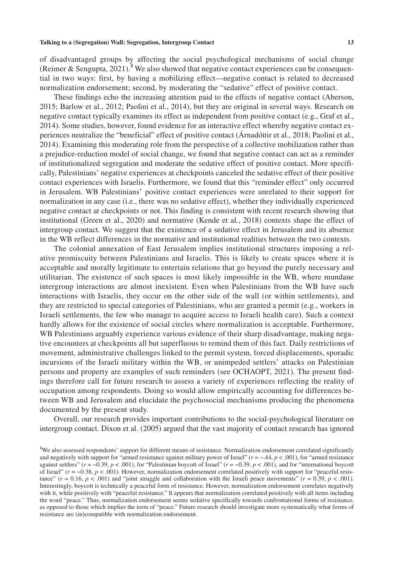of disadvantaged groups by affecting the social psychological mechanisms of social change (Reimer & Sengupta, 2021).<sup>8</sup> We also showed that negative contact experiences can be consequential in two ways: first, by having a mobilizing effect—negative contact is related to decreased normalization endorsement; second, by moderating the "sedative" effect of positive contact.

These findings echo the increasing attention paid to the effects of negative contact (Aberson, 2015; Barlow et al., 2012; Paolini et al., 2014), but they are original in several ways. Research on negative contact typically examines its effect as independent from positive contact (e.g., Graf et al., 2014). Some studies, however, found evidence for an interactive effect whereby negative contact experiences neutralize the "beneficial" effect of positive contact (Árnadóttir et al., 2018; Paolini et al., 2014). Examining this moderating role from the perspective of a collective mobilization rather than a prejudice-reduction model of social change, we found that negative contact can act as a reminder of institutionalized segregation and moderate the sedative effect of positive contact. More specifically, Palestinians' negative experiences at checkpoints canceled the sedative effect of their positive contact experiences with Israelis. Furthermore, we found that this "reminder effect" only occurred in Jerusalem. WB Palestinians' positive contact experiences were unrelated to their support for normalization in any case (i.e., there was no sedative effect), whether they individually experienced negative contact at checkpoints or not. This finding is consistent with recent research showing that institutional (Green et al., 2020) and normative (Kende et al., 2018) contexts shape the effect of intergroup contact. We suggest that the existence of a sedative effect in Jerusalem and its absence in the WB reflect differences in the normative and institutional realities between the two contexts.

The colonial annexation of East Jerusalem implies institutional structures imposing a relative promiscuity between Palestinians and Israelis. This is likely to create spaces where it is acceptable and morally legitimate to entertain relations that go beyond the purely necessary and utilitarian. The existence of such spaces is most likely impossible in the WB, where mundane intergroup interactions are almost inexistent. Even when Palestinians from the WB have such interactions with Israelis, they occur on the other side of the wall (or within settlements), and they are restricted to special categories of Palestinians, who are granted a permit (e.g., workers in Israeli settlements, the few who manage to acquire access to Israeli health care). Such a context hardly allows for the existence of social circles where normalization is acceptable. Furthermore, WB Palestinians arguably experience various evidence of their sharp disadvantage, making negative encounters at checkpoints all but superfluous to remind them of this fact. Daily restrictions of movement, administrative challenges linked to the permit system, forced displacements, sporadic incursions of the Israeli military within the WB, or unimpeded settlers' attacks on Palestinian persons and property are examples of such reminders (see OCHAOPT, 2021). The present findings therefore call for future research to assess a variety of experiences reflecting the reality of occupation among respondents. Doing so would allow empirically accounting for differences between WB and Jerusalem and elucidate the psychosocial mechanisms producing the phenomena documented by the present study.

Overall, our research provides important contributions to the social-psychological literature on intergroup contact. Dixon et al. (2005) argued that the vast majority of contact research has ignored

<sup>&</sup>lt;sup>8</sup>We also assessed respondents' support for different means of resistance. Normalization endorsement correlated significantly and negatively with support for "armed resistance against military power of Israel" (*r* = −.44, *p* < .001), for "armed resistance against settlers" (*r* = −0.39, *p* < .001), for "Palestinian boycott of Israel" (*r* = −0.39, *p* < .001), and for "international boycott of Israel" (*r* = −0.38, *p* < .001). However, normalization endorsement correlated positively with support for "peaceful resistance"  $(r = 0.16, p < .001)$  and "joint struggle and collaboration with the Israeli peace movements"  $(r = 0.39, p < .001)$ . Interestingly, boycott is technically a peaceful form of resistance. However, normalization endorsement correlates negatively with it, while positively with "peaceful resistance." It appears that normalization correlated positively with all items including the word "peace." Thus, normalization endorsement seems sedative specifically towards confrontational forms of resistance, as opposed to those which implies the term of "peace." Future research should investigate more systematically what forms of resistance are (in)compatible with normalization endorsement.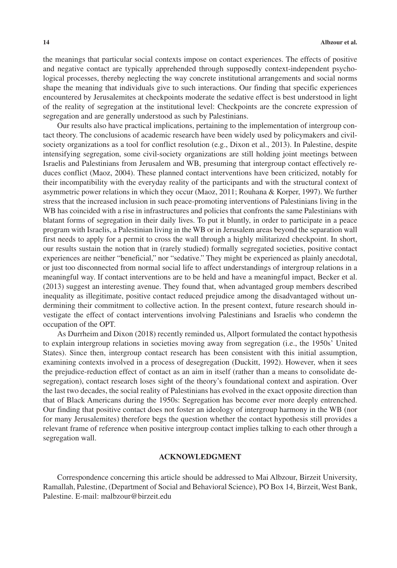the meanings that particular social contexts impose on contact experiences. The effects of positive and negative contact are typically apprehended through supposedly context-independent psychological processes, thereby neglecting the way concrete institutional arrangements and social norms shape the meaning that individuals give to such interactions. Our finding that specific experiences encountered by Jerusalemites at checkpoints moderate the sedative effect is best understood in light of the reality of segregation at the institutional level: Checkpoints are the concrete expression of segregation and are generally understood as such by Palestinians.

Our results also have practical implications, pertaining to the implementation of intergroup contact theory. The conclusions of academic research have been widely used by policymakers and civilsociety organizations as a tool for conflict resolution (e.g., Dixon et al., 2013). In Palestine, despite intensifying segregation, some civil-society organizations are still holding joint meetings between Israelis and Palestinians from Jerusalem and WB, presuming that intergroup contact effectively reduces conflict (Maoz, 2004). These planned contact interventions have been criticized, notably for their incompatibility with the everyday reality of the participants and with the structural context of asymmetric power relations in which they occur (Maoz, 2011; Rouhana & Korper, 1997). We further stress that the increased inclusion in such peace-promoting interventions of Palestinians living in the WB has coincided with a rise in infrastructures and policies that confronts the same Palestinians with blatant forms of segregation in their daily lives. To put it bluntly, in order to participate in a peace program with Israelis, a Palestinian living in the WB or in Jerusalem areas beyond the separation wall first needs to apply for a permit to cross the wall through a highly militarized checkpoint. In short, our results sustain the notion that in (rarely studied) formally segregated societies, positive contact experiences are neither "beneficial," nor "sedative." They might be experienced as plainly anecdotal, or just too disconnected from normal social life to affect understandings of intergroup relations in a meaningful way. If contact interventions are to be held and have a meaningful impact, Becker et al. (2013) suggest an interesting avenue. They found that, when advantaged group members described inequality as illegitimate, positive contact reduced prejudice among the disadvantaged without undermining their commitment to collective action. In the present context, future research should investigate the effect of contact interventions involving Palestinians and Israelis who condemn the occupation of the OPT.

As Durrheim and Dixon (2018) recently reminded us, Allport formulated the contact hypothesis to explain intergroup relations in societies moving away from segregation (i.e., the 1950s' United States). Since then, intergroup contact research has been consistent with this initial assumption, examining contexts involved in a process of desegregation (Duckitt, 1992). However, when it sees the prejudice-reduction effect of contact as an aim in itself (rather than a means to consolidate desegregation), contact research loses sight of the theory's foundational context and aspiration. Over the last two decades, the social reality of Palestinians has evolved in the exact opposite direction than that of Black Americans during the 1950s: Segregation has become ever more deeply entrenched. Our finding that positive contact does not foster an ideology of intergroup harmony in the WB (nor for many Jerusalemites) therefore begs the question whether the contact hypothesis still provides a relevant frame of reference when positive intergroup contact implies talking to each other through a segregation wall.

# **ACKNOWLEDGMENT**

Correspondence concerning this article should be addressed to Mai Albzour, Birzeit University, Ramallah, Palestine, (Department of Social and Behavioral Science), PO Box 14, Birzeit, West Bank, Palestine. E-mail: [malbzour@birzeit.edu](mailto:malbzour@birzeit.edu)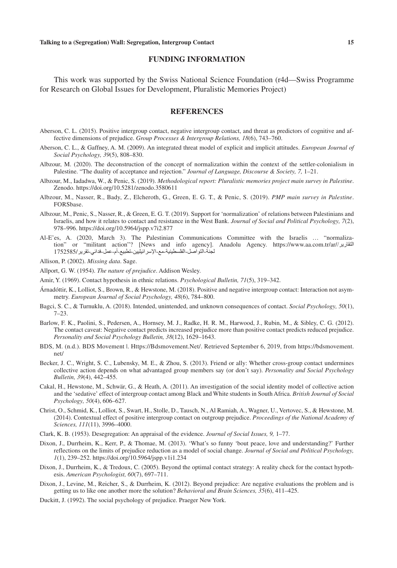# **FUNDING INFORMATION**

This work was supported by the Swiss National Science Foundation (r4d—Swiss Programme for Research on Global Issues for Development, Pluralistic Memories Project)

# **REFERENCES**

- Aberson, C. L. (2015). Positive intergroup contact, negative intergroup contact, and threat as predictors of cognitive and affective dimensions of prejudice. *Group Processes & Intergroup Relations, 18*(6), 743–760.
- Aberson, C. L., & Gaffney, A. M. (2009). An integrated threat model of explicit and implicit attitudes. *European Journal of Social Psychology, 39*(5), 808–830.
- Albzour, M. (2020). The deconstruction of the concept of normalization within the context of the settler-colonialism in Palestine. "The duality of acceptance and rejection." *Journal of Language, Discourse & Society, 7,* 1–21.
- Albzour, M., Iadadwa, W., & Penic, S. (2019). *Methodological report: Pluralistic memories project main survey in Palestine*. Zenodo. <https://doi.org/10.5281/zenodo.3580611>
- Albzour, M., Nasser, R., Bady, Z., Elcheroth, G., Green, E. G. T., & Penic, S. (2019). *PMP main survey in Palestine*. FORSbase.
- Albzour, M., Penic, S., Nasser, R., & Green, E. G. T. (2019). Support for 'normalization' of relations between Palestinians and Israelis, and how it relates to contact and resistance in the West Bank. *Journal of Social and Political Psychology, 7*(2), 978–996.<https://doi.org/10.5964/jspp.v7i2.877>
- Al-E'es, A. (2020, March 3). The Palestinian Communications Committee with the Israelis … "normalization" or "militant action"? [News and info agency]. Anadolu Agency. [https://www.aa.com.tr/ar/](https://www.aa.com.tr/ar/%D8%A7%D9%84%D8%AA%D9%82%D8%A7%D8%B1%D9%8A%D8%B1/%D9%84%D8%AC%D9%86%D8%A9-%D8%A7%D9%84%D8%AA%D9%88%D8%A7%D8%B5%D9%84-%D8%A7%D9%84%D9%81%D9%84%D8%B3%D8%B7%D9%8A%D9%86%D9%8A%D8%A9-%D9%85%D8%B9-%D8%A7%D9%84%D8%A5%D8%B3%D8%B1%D8%A7%D8%A6%D9%8A%D9%84%D9%8A%D9%8A%D9%86-%D8%AA%D8%B7%D8%A8%D9%8A%D8%B9-%D8%A3%D9%85-%D8%B9%D9%85%D9%84-%D9%81%D8%AF%D8%A7%D8%A6%D9%8A-%D8%AA%D9%82%D8%B1%D9%8A%D8%B1/1752585)/التقارير [لجنة-التواصل-الفلسطينية-مع-اإلسرائيليين-تطبيع-أم-عمل-فدائي-تقرير](https://www.aa.com.tr/ar/%D8%A7%D9%84%D8%AA%D9%82%D8%A7%D8%B1%D9%8A%D8%B1/%D9%84%D8%AC%D9%86%D8%A9-%D8%A7%D9%84%D8%AA%D9%88%D8%A7%D8%B5%D9%84-%D8%A7%D9%84%D9%81%D9%84%D8%B3%D8%B7%D9%8A%D9%86%D9%8A%D8%A9-%D9%85%D8%B9-%D8%A7%D9%84%D8%A5%D8%B3%D8%B1%D8%A7%D8%A6%D9%8A%D9%84%D9%8A%D9%8A%D9%86-%D8%AA%D8%B7%D8%A8%D9%8A%D8%B9-%D8%A3%D9%85-%D8%B9%D9%85%D9%84-%D9%81%D8%AF%D8%A7%D8%A6%D9%8A-%D8%AA%D9%82%D8%B1%D9%8A%D8%B1/1752585)1752585/
- Allison, P. (2002). *Missing data*. Sage.
- Allport, G. W. (1954). *The nature of prejudice*. Addison Wesley.
- Amir, Y. (1969). Contact hypothesis in ethnic relations. *Psychological Bulletin, 71*(5), 319–342.
- Árnadóttir, K., Lolliot, S., Brown, R., & Hewstone, M. (2018). Positive and negative intergroup contact: Interaction not asymmetry. *European Journal of Social Psychology, 48*(6), 784–800.
- Bagci, S. C., & Turnuklu, A. (2018). Intended, unintended, and unknown consequences of contact. *Social Psychology, 50*(1), 7–23.
- Barlow, F. K., Paolini, S., Pedersen, A., Hornsey, M. J., Radke, H. R. M., Harwood, J., Rubin, M., & Sibley, C. G. (2012). The contact caveat: Negative contact predicts increased prejudice more than positive contact predicts reduced prejudice. *Personality and Social Psychology Bulletin, 38*(12), 1629–1643.
- BDS, M. (n.d.). BDS Movement |. Https://Bdsmovement.Net/. Retrieved September 6, 2019, from https://bdsmovement. net/
- Becker, J. C., Wright, S. C., Lubensky, M. E., & Zhou, S. (2013). Friend or ally: Whether cross-group contact undermines collective action depends on what advantaged group members say (or don't say). *Personality and Social Psychology Bulletin, 39*(4), 442–455.
- Cakal, H., Hewstone, M., Schwär, G., & Heath, A. (2011). An investigation of the social identity model of collective action and the 'sedative' effect of intergroup contact among Black and White students in South Africa. *British Journal of Social Psychology, 50*(4), 606–627.
- Christ, O., Schmid, K., Lolliot, S., Swart, H., Stolle, D., Tausch, N., Al Ramiah, A., Wagner, U., Vertovec, S., & Hewstone, M. (2014). Contextual effect of positive intergroup contact on outgroup prejudice. *Proceedings of the National Academy of Sciences, 111*(11), 3996–4000.
- Clark, K. B. (1953). Desegregation: An appraisal of the evidence. *Journal of Social Issues, 9,* 1–77.
- Dixon, J., Durrheim, K., Kerr, P., & Thomae, M. (2013). 'What's so funny 'bout peace, love and understanding?' Further reflections on the limits of prejudice reduction as a model of social change. *Journal of Social and Political Psychology, 1*(1), 239–252. <https://doi.org/10.5964/jspp.v1i1.234>
- Dixon, J., Durrheim, K., & Tredoux, C. (2005). Beyond the optimal contact strategy: A reality check for the contact hypothesis. *American Psychologist, 60*(7), 697–711.
- Dixon, J., Levine, M., Reicher, S., & Durrheim, K. (2012). Beyond prejudice: Are negative evaluations the problem and is getting us to like one another more the solution? *Behavioral and Brain Sciences, 35*(6), 411–425.
- Duckitt, J. (1992). The social psychology of prejudice. Praeger New York.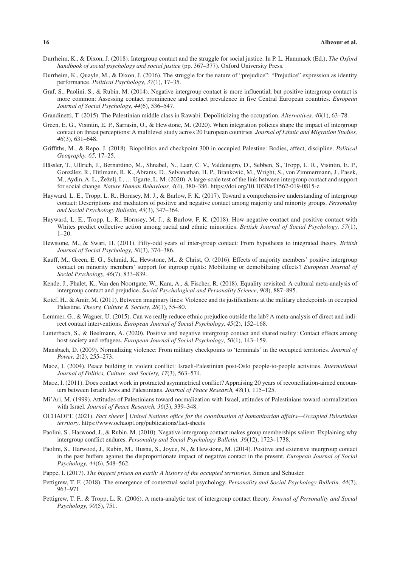- Durrheim, K., & Dixon, J. (2018). Intergroup contact and the struggle for social justice. In P. L. Hammack (Ed.), *The Oxford handbook of social psychology and social justice* (pp. 367–377). Oxford University Press.
- Durrheim, K., Quayle, M., & Dixon, J. (2016). The struggle for the nature of "prejudice": "Prejudice" expression as identity performance. *Political Psychology, 37*(1), 17–35.
- Graf, S., Paolini, S., & Rubin, M. (2014). Negative intergroup contact is more influential, but positive intergroup contact is more common: Assessing contact prominence and contact prevalence in five Central European countries. *European Journal of Social Psychology, 44*(6), 536–547.
- Grandinetti, T. (2015). The Palestinian middle class in Rawabi: Depoliticizing the occupation. *Alternatives, 40*(1), 63–78.
- Green, E. G., Visintin, E. P., Sarrasin, O., & Hewstone, M. (2020). When integration policies shape the impact of intergroup contact on threat perceptions: A multilevel study across 20 European countries. *Journal of Ethnic and Migration Studies, 46*(3), 631–648.
- Griffiths, M., & Repo, J. (2018). Biopolitics and checkpoint 300 in occupied Palestine: Bodies, affect, discipline. *Political Geography, 65,* 17–25.
- Hässler, T., Ullrich, J., Bernardino, M., Shnabel, N., Laar, C. V., Valdenegro, D., Sebben, S., Tropp, L. R., Visintin, E. P., González, R., Ditlmann, R. K., Abrams, D., Selvanathan, H. P., Branković, M., Wright, S., von Zimmermann, J., Pasek, M., Aydin, A. L., Žeželj, I., … Ugarte, L. M. (2020). A large-scale test of the link between intergroup contact and support for social change. *Nature Human Behaviour, 4*(4), 380–386.<https://doi.org/10.1038/s41562-019-0815-z>
- Hayward, L. E., Tropp, L. R., Hornsey, M. J., & Barlow, F. K. (2017). Toward a comprehensive understanding of intergroup contact: Descriptions and mediators of positive and negative contact among majority and minority groups. *Personality and Social Psychology Bulletin, 43*(3), 347–364.
- Hayward, L. E., Tropp, L. R., Hornsey, M. J., & Barlow, F. K. (2018). How negative contact and positive contact with Whites predict collective action among racial and ethnic minorities. *British Journal of Social Psychology, 57*(1),  $1-20$ .
- Hewstone, M., & Swart, H. (2011). Fifty-odd years of inter-group contact: From hypothesis to integrated theory. *British Journal of Social Psychology, 50*(3), 374–386.
- Kauff, M., Green, E. G., Schmid, K., Hewstone, M., & Christ, O. (2016). Effects of majority members' positive intergroup contact on minority members' support for ingroup rights: Mobilizing or demobilizing effects? *European Journal of Social Psychology, 46*(7), 833–839.
- Kende, J., Phalet, K., Van den Noortgate, W., Kara, A., & Fischer, R. (2018). Equality revisited: A cultural meta-analysis of intergroup contact and prejudice. *Social Psychological and Personality Science, 9*(8), 887–895.
- Kotef, H., & Amir, M. (2011). Between imaginary lines: Violence and its justifications at the military checkpoints in occupied Palestine. *Theory, Culture & Society, 28*(1), 55–80.
- Lemmer, G., & Wagner, U. (2015). Can we really reduce ethnic prejudice outside the lab? A meta-analysis of direct and indirect contact interventions. *European Journal of Social Psychology, 45*(2), 152–168.
- Lutterbach, S., & Beelmann, A. (2020). Positive and negative intergroup contact and shared reality: Contact effects among host society and refugees. *European Journal of Social Psychology, 50*(1), 143–159.
- Mansbach, D. (2009). Normalizing violence: From military checkpoints to 'terminals' in the occupied territories. *Journal of Power, 2*(2), 255–273.
- Maoz, I. (2004). Peace building in violent conflict: Israeli-Palestinian post-Oslo people-to-people activities. *International Journal of Politics, Culture, and Society, 17*(3), 563–574.
- Maoz, I. (2011). Does contact work in protracted asymmetrical conflict? Appraising 20 years of reconciliation-aimed encounters between Israeli Jews and Palestinians. *Journal of Peace Research, 48*(1), 115–125.
- Mi'Ari, M. (1999). Attitudes of Palestinians toward normalization with Israel, attitudes of Palestinians toward normalization with Israel. *Journal of Peace Research, 36*(3), 339–348.
- OCHAOPT. (2021). *Fact sheets | United Nations office for the coordination of humanitarian affairs—Occupied Palestinian territory*. <https://www.ochaopt.org/publications/fact-sheets>
- Paolini, S., Harwood, J., & Rubin, M. (2010). Negative intergroup contact makes group memberships salient: Explaining why intergroup conflict endures. *Personality and Social Psychology Bulletin, 36*(12), 1723–1738.
- Paolini, S., Harwood, J., Rubin, M., Husnu, S., Joyce, N., & Hewstone, M. (2014). Positive and extensive intergroup contact in the past buffers against the disproportionate impact of negative contact in the present. *European Journal of Social Psychology, 44*(6), 548–562.
- Pappe, I. (2017). *The biggest prison on earth: A history of the occupied territories*. Simon and Schuster.
- Pettigrew, T. F. (2018). The emergence of contextual social psychology. *Personality and Social Psychology Bulletin, 44*(7), 963–971.
- Pettigrew, T. F., & Tropp, L. R. (2006). A meta-analytic test of intergroup contact theory. *Journal of Personality and Social Psychology, 90*(5), 751.